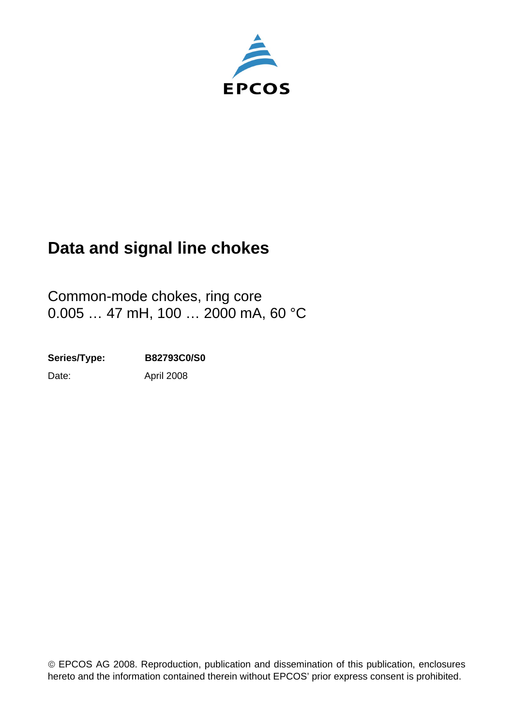

# **Data and signal line chokes**

Common-mode chokes, ring core 0.005 ... 47 mH, 100 ... 2000 mA, 60 °C

Date: **Series/Type: B82793C0/S0** April 2008

© EPCOS AG 2008. Reproduction, publication and dissemination of this publication, enclosures hereto and the information contained therein without EPCOS' prior express consent is prohibited.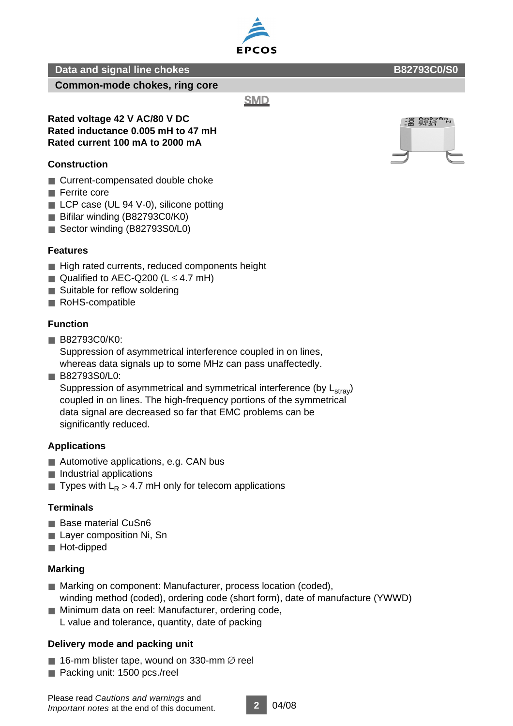**Common-mode chokes, ring core**

**SMD** 

#### **Rated voltage 42 V AC/80 V DC Rated inductance 0.005 mH to 47 mH Rated current 100 mA to 2000 mA**

## **Construction**

- Current-compensated double choke
- Ferrite core
- LCP case (UL 94 V-0), silicone potting
- Bifilar winding (B82793C0/K0)
- Sector winding (B82793S0/L0)

## **Features**

- High rated currents, reduced components height
- Qualified to AEC-Q200 ( $L \leq 4.7$  mH)
- Suitable for reflow soldering
- RoHS-compatible

## **Function**

■ B82793C0/K0:

Suppression of asymmetrical interference coupled in on lines,

whereas data signals up to some MHz can pass unaffectedly.

■ B82793S0/L0:

Suppression of asymmetrical and symmetrical interference (by  $L<sub>strav</sub>$ ) coupled in on lines. The high-frequency portions of the symmetrical data signal are decreased so far that EMC problems can be significantly reduced.

## **Applications**

- Automotive applications, e.g. CAN bus
- Industrial applications
- **Types with L<sub>R</sub> > 4.7 mH only for telecom applications**

## **Terminals**

- Base material CuSn6
- Layer composition Ni, Sn
- Hot-dipped

## **Marking**

- Marking on component: Manufacturer, process location (coded), winding method (coded), ordering code (short form), date of manufacture (YWWD)
- Minimum data on reel: Manufacturer, ordering code, L value and tolerance, quantity, date of packing

## **Delivery mode and packing unit**

- 16-mm blister tape, wound on 330-mm  $\varnothing$  reel
- Packing unit: 1500 pcs./reel



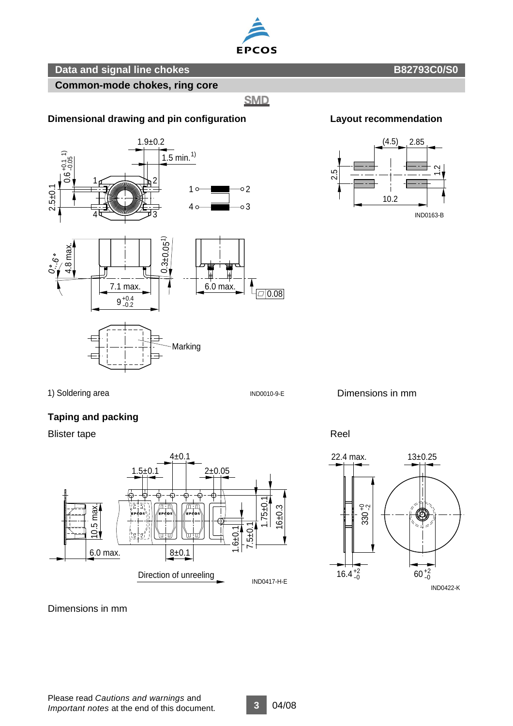

#### **Common-mode chokes, ring core**

**SMD** 

#### **Dimensional drawing and pin configuration Layout recommendation**







1) Soldering area

#### IND0010-9-E

Dimensions in mm



#### **Taping and packing**

Blister tape Reel



Dimensions in mm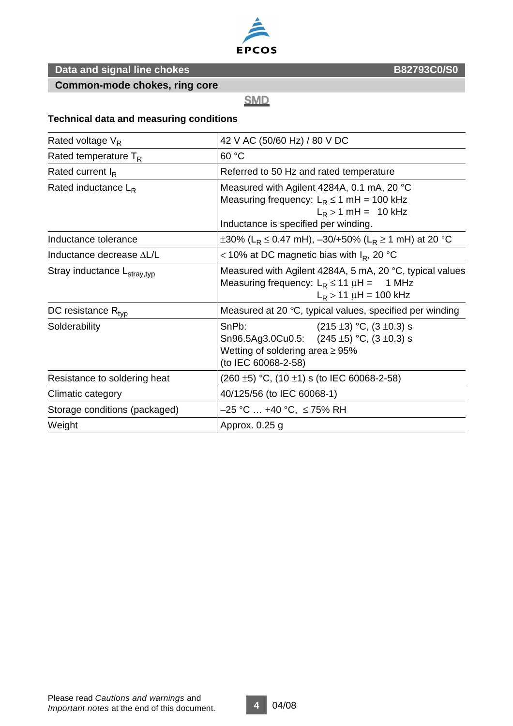

**Common-mode chokes, ring core**

**SMD** 

#### **Technical data and measuring conditions**

| Rated voltage $V_R$                     | 42 V AC (50/60 Hz) / 80 V DC                                                                                                                                     |  |  |  |  |
|-----------------------------------------|------------------------------------------------------------------------------------------------------------------------------------------------------------------|--|--|--|--|
| Rated temperature $T_R$                 | 60 °C                                                                                                                                                            |  |  |  |  |
| Rated current $I_R$                     | Referred to 50 Hz and rated temperature                                                                                                                          |  |  |  |  |
| Rated inductance $L_R$                  | Measured with Agilent 4284A, 0.1 mA, 20 °C<br>Measuring frequency: $L_R \le 1$ mH = 100 kHz<br>$L_R > 1$ mH = 10 kHz<br>Inductance is specified per winding.     |  |  |  |  |
| Inductance tolerance                    | ±30% (L <sub>R</sub> ≤ 0.47 mH), -30/+50% (L <sub>R</sub> ≥ 1 mH) at 20 °C                                                                                       |  |  |  |  |
| Inductance decrease AL/L                | < 10% at DC magnetic bias with $I_R$ , 20 °C                                                                                                                     |  |  |  |  |
| Stray inductance L <sub>stray,typ</sub> | Measured with Agilent 4284A, 5 mA, 20 °C, typical values<br>Measuring frequency: $L_R \le 11 \mu H =$<br>1 MHz<br>$L_R$ > 11 $\mu$ H = 100 kHz                   |  |  |  |  |
| DC resistance $R_{\text{tvp}}$          | Measured at 20 $\degree$ C, typical values, specified per winding                                                                                                |  |  |  |  |
| Solderability                           | SnPb:<br>$(215 \pm 3)$ °C, $(3 \pm 0.3)$ s<br>Sn96.5Ag3.0Cu0.5: $(245 \pm 5)$ °C, $(3 \pm 0.3)$ s<br>Wetting of soldering area $\geq$ 95%<br>(to IEC 60068-2-58) |  |  |  |  |
| Resistance to soldering heat            | $(260 \pm 5)$ °C, $(10 \pm 1)$ s (to IEC 60068-2-58)                                                                                                             |  |  |  |  |
| Climatic category                       | 40/125/56 (to IEC 60068-1)                                                                                                                                       |  |  |  |  |
| Storage conditions (packaged)           | $-25$ °C  +40 °C, $\leq$ 75% RH                                                                                                                                  |  |  |  |  |
| Weight                                  | Approx. 0.25 g                                                                                                                                                   |  |  |  |  |
|                                         |                                                                                                                                                                  |  |  |  |  |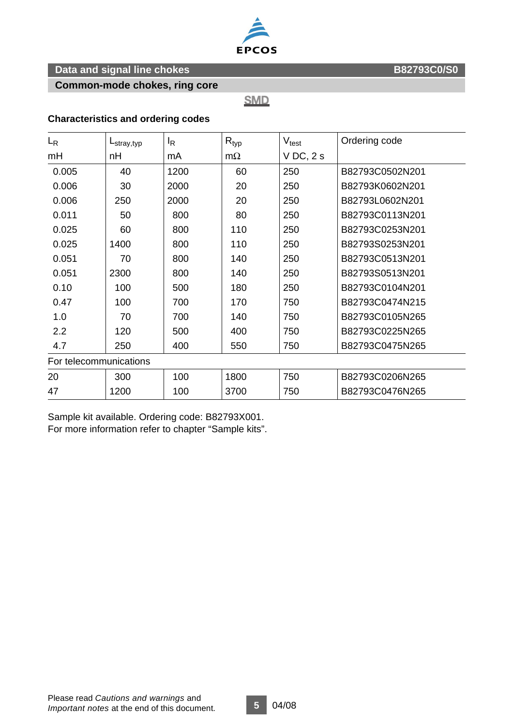

**Common-mode chokes, ring core**

**SMD** 

#### **Characteristics and ordering codes**

| $L_{\rm R}$            | $L_{\text{stray,typ}}$ | ΙŖ   | $R_{typ}$ | $V_{\text{test}}$ | Ordering code   |  |  |  |  |
|------------------------|------------------------|------|-----------|-------------------|-----------------|--|--|--|--|
| mH                     | nH                     | mA   | $m\Omega$ | $V$ DC, $2s$      |                 |  |  |  |  |
| 0.005                  | 40                     | 1200 | 60        | 250               | B82793C0502N201 |  |  |  |  |
| 0.006                  | 30                     | 2000 | 20        | 250               | B82793K0602N201 |  |  |  |  |
| 0.006                  | 250                    | 2000 | 20        | 250               | B82793L0602N201 |  |  |  |  |
| 0.011                  | 50                     | 800  | 80        | 250               | B82793C0113N201 |  |  |  |  |
| 0.025                  | 60                     | 800  | 110       | 250               | B82793C0253N201 |  |  |  |  |
| 0.025                  | 1400                   | 800  | 110       | 250               | B82793S0253N201 |  |  |  |  |
| 0.051                  | 70                     | 800  | 140       | 250               | B82793C0513N201 |  |  |  |  |
| 0.051                  | 2300                   | 800  | 140       | 250               | B82793S0513N201 |  |  |  |  |
| 0.10                   | 100                    | 500  | 180       | 250               | B82793C0104N201 |  |  |  |  |
| 0.47                   | 100                    | 700  | 170       | 750               | B82793C0474N215 |  |  |  |  |
| 1.0                    | 70                     | 700  | 140       | 750               | B82793C0105N265 |  |  |  |  |
| 2.2                    | 120                    | 500  | 400       | 750               | B82793C0225N265 |  |  |  |  |
| 4.7                    | 250                    | 400  | 550       | 750               | B82793C0475N265 |  |  |  |  |
| For telecommunications |                        |      |           |                   |                 |  |  |  |  |
| 20                     | 300                    | 100  | 1800      | 750               | B82793C0206N265 |  |  |  |  |
| 47                     | 1200                   | 100  | 3700      | 750               | B82793C0476N265 |  |  |  |  |

Sample kit available. Ordering code: B82793X001. For more information refer to chapter "Sample kits".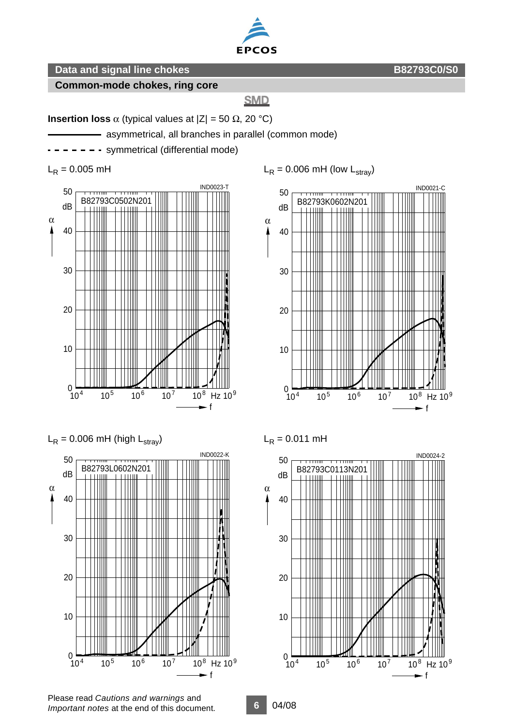

#### **Common-mode chokes, ring core**

## **SMD**

**Insertion loss**  $\alpha$  (typical values at  $|Z| = 50 \Omega$ , 20 °C)

- asymmetrical, all branches in parallel (common mode)

- - symmetrical (differential mode)

 $L_R = 0.005$  mH





 $L_R$  = 0.006 mH (low  $L_{\text{strav}}$ )



 $L_R = 0.011$  mH

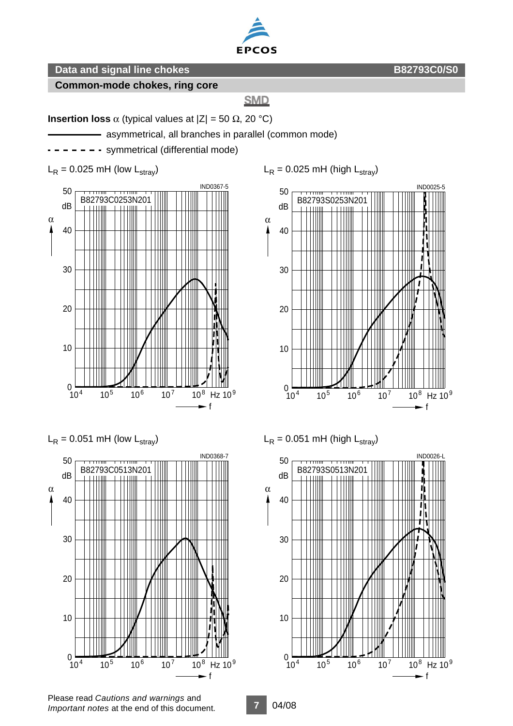

#### **Common-mode chokes, ring core**

#### **SMD**

**Insertion loss**  $\alpha$  (typical values at  $|Z| = 50 \Omega$ , 20 °C)

- asymmetrical, all branches in parallel (common mode)

- - symmetrical (differential mode)

 $L_R = 0.025$  mH (low  $L_{\text{strav}}$ )







 $L_R$  = 0.025 mH (high  $L_{\text{strav}}$ )



 $L_R$  = 0.051 mH (high  $L_{\text{strav}}$ )



Please read *Cautions and warnings* and *Important notes* at the end of this document.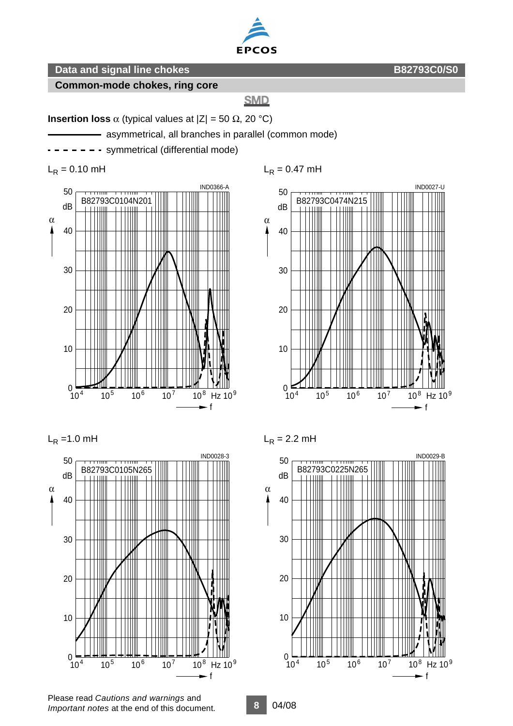

#### **Common-mode chokes, ring core**

#### **SMD**

**Insertion loss**  $\alpha$  (typical values at  $|Z| = 50 \Omega$ , 20 °C)

- asymmetrical, all branches in parallel (common mode)

- - symmetrical (differential mode)

 $L_R = 0.10$  mH





 $L_R = 1.0$  mH



 $L_R = 2.2$  mH

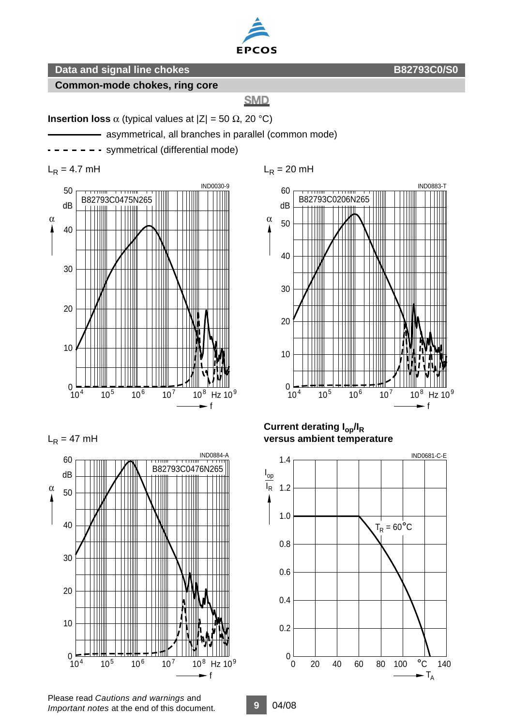

## **Common-mode chokes, ring core**

## **SMD**

**Insertion loss**  $\alpha$  (typical values at  $|Z| = 50 \Omega$ , 20 °C)

- asymmetrical, all branches in parallel (common mode)

- - symmetrical (differential mode)

 $L_R = 4.7$  mH







 $L_R$  = 20 mH



**Current derating Iop/IR versus ambient temperature**



Please read *Cautions and warnings* and *Important notes* at the end of this document.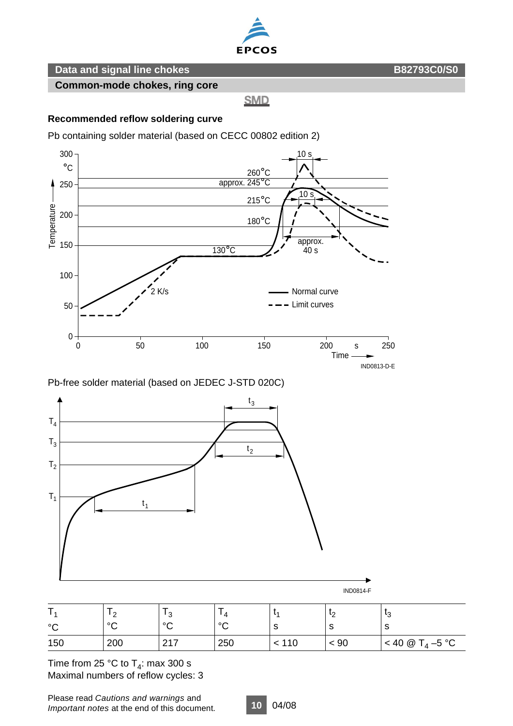

**Common-mode chokes, ring core**

**SMD** 

#### **Recommended reflow soldering curve**

Pb containing solder material (based on CECC 00802 edition 2)



Pb-free solder material (based on JEDEC J-STD 020C)



| $\circ$ | ി<br>∼<br>$\sim$ | ົ<br>$\circ$    | $\Delta$<br>$\circ$ |     | $\sim$ | ีเว<br>ັບ<br>c   |
|---------|------------------|-----------------|---------------------|-----|--------|------------------|
| 150     | 200              | 017<br><u>.</u> | 250                 | 110 | < 90   | < 40 $@T_4-5 °C$ |

Time from 25 °C to  $T_4$ : max 300 s Maximal numbers of reflow cycles: 3

Please read *Cautions and warnings* and *Important notes* at the end of this document.

**10** 04/08

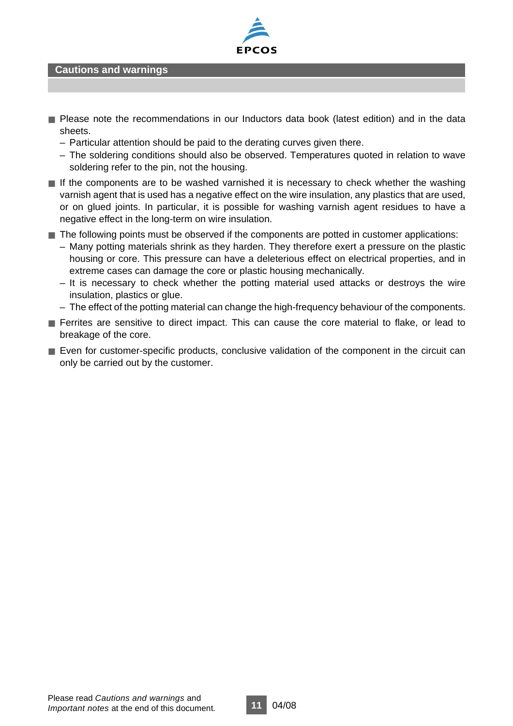

#### **Cautions and warnings**

- Please note the recommendations in our Inductors data book (latest edition) and in the data sheets.
	- Particular attention should be paid to the derating curves given there.
	- The soldering conditions should also be observed. Temperatures quoted in relation to wave soldering refer to the pin, not the housing.
- If the components are to be washed varnished it is necessary to check whether the washing varnish agent that is used has a negative effect on the wire insulation, any plastics that are used, or on glued joints. In particular, it is possible for washing varnish agent residues to have a negative effect in the long-term on wire insulation.
- The following points must be observed if the components are potted in customer applications:
	- Many potting materials shrink as they harden. They therefore exert a pressure on the plastic housing or core. This pressure can have a deleterious effect on electrical properties, and in extreme cases can damage the core or plastic housing mechanically.
	- It is necessary to check whether the potting material used attacks or destroys the wire insulation, plastics or glue.
	- The effect of the potting material can change the high-frequency behaviour of the components.
- Ferrites are sensitive to direct impact. This can cause the core material to flake, or lead to breakage of the core.
- Even for customer-specific products, conclusive validation of the component in the circuit can only be carried out by the customer.